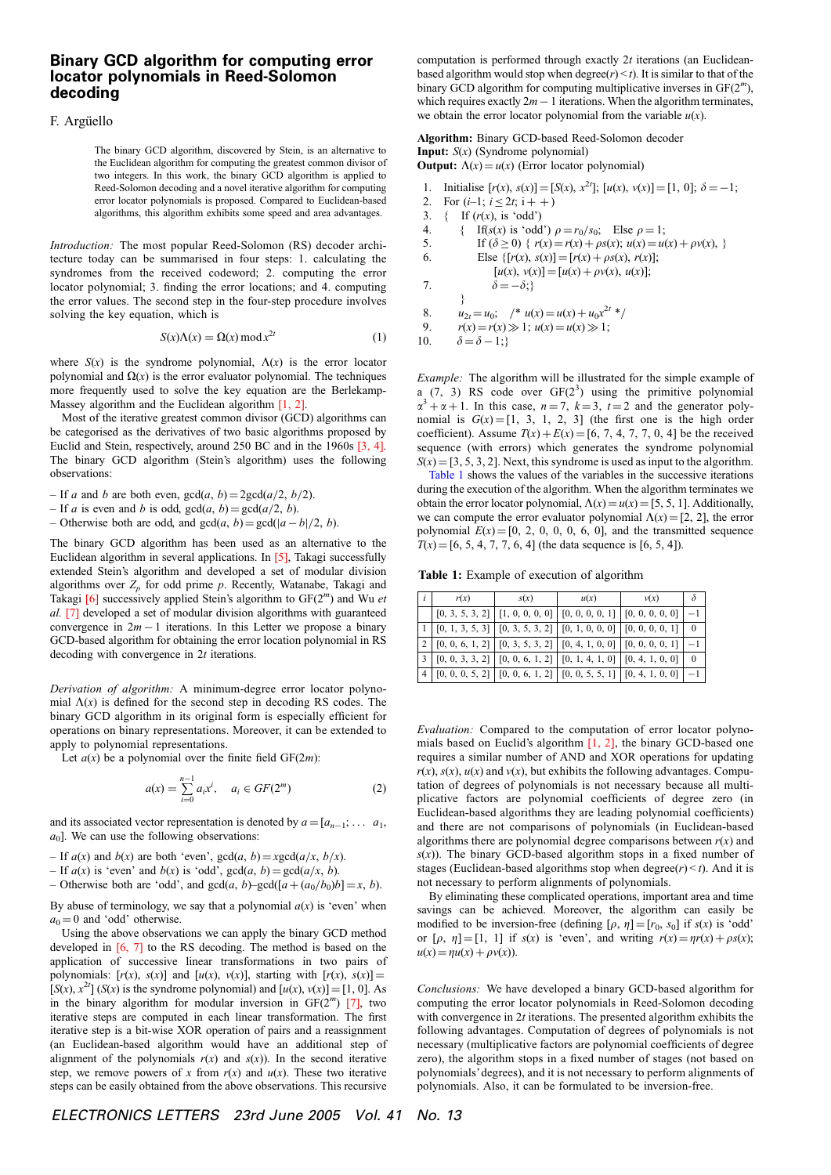## Binary GCD algorithm for computing error locator polynomials in Reed-Solomon decoding

## F. Argüello

The binary GCD algorithm, discovered by Stein, is an alternative to the Euclidean algorithm for computing the greatest common divisor of two integers. In this work, the binary GCD algorithm is applied to Reed-Solomon decoding and a novel iterative algorithm for computing error locator polynomials is proposed. Compared to Euclidean-based algorithms, this algorithm exhibits some speed and area advantages.

Introduction: The most popular Reed-Solomon (RS) decoder architecture today can be summarised in four steps: 1. calculating the syndromes from the received codeword; 2. computing the error locator polynomial; 3. finding the error locations; and 4. computing the error values. The second step in the four-step procedure involves solving the key equation, which is

$$
S(x)\Lambda(x) = \Omega(x) \operatorname{mod} x^{2t} \tag{1}
$$

where  $S(x)$  is the syndrome polynomial,  $\Lambda(x)$  is the error locator polynomial and  $\Omega(x)$  is the error evaluator polynomial. The techniques more frequently used to solve the key equation are the Berlekamp-Massey algorithm and the Euclidean algorithm [1, 2].

Most of the iterative greatest common divisor (GCD) algorithms can be categorised as the derivatives of two basic algorithms proposed by Euclid and Stein, respectively, around 250 BC and in the 1960s [3, 4]. The binary GCD algorithm (Stein's algorithm) uses the following observations:

- If a and b are both even,  $gcd(a, b) = 2gcd(a/2, b/2)$ .
- If a is even and b is odd,  $gcd(a, b) = gcd(a/2, b)$ .
- Otherwise both are odd, and  $gcd(a, b) = gcd(|a b|/2, b)$ .

The binary GCD algorithm has been used as an alternative to the Euclidean algorithm in several applications. In [5], Takagi successfully extended Stein's algorithm and developed a set of modular division algorithms over  $Z_p$  for odd prime p. Recently, Watanabe, Takagi and Takagi  $[6]$  successively applied Stein's algorithm to  $GF(2<sup>m</sup>)$  and Wu et al. [7] developed a set of modular division algorithms with guaranteed convergence in  $2m - 1$  iterations. In this Letter we propose a binary GCD-based algorithm for obtaining the error location polynomial in RS decoding with convergence in 2t iterations.

Derivation of algorithm: A minimum-degree error locator polynomial  $\Lambda(x)$  is defined for the second step in decoding RS codes. The binary GCD algorithm in its original form is especially efficient for operations on binary representations. Moreover, it can be extended to apply to polynomial representations.

Let  $a(x)$  be a polynomial over the finite field GF(2m):

$$
a(x) = \sum_{i=0}^{n-1} a_i x^i, \quad a_i \in GF(2^m)
$$
 (2)

and its associated vector representation is denoted by  $a = [a_{n-1}; \dots, a_1]$ ,  $a_0$ ]. We can use the following observations:

- If  $a(x)$  and  $b(x)$  are both 'even',  $gcd(a, b) = xgcd(a/x, b/x)$ .
- If  $a(x)$  is 'even' and  $b(x)$  is 'odd',  $gcd(a, b) = gcd(a/x, b)$ .
- Otherwise both are 'odd', and  $gcd(a, b) gcd([a + (a_0/b_0)b] = x, b)$ .

By abuse of terminology, we say that a polynomial  $a(x)$  is 'even' when  $a_0 = 0$  and 'odd' otherwise.

Using the above observations we can apply the binary GCD method developed in [6, 7] to the RS decoding. The method is based on the application of successive linear transformations in two pairs of polynomials:  $[r(x), s(x)]$  and  $[u(x), v(x)]$ , starting with  $[r(x), s(x)] =$  $[S(x), x^{2t}]$  (S(x) is the syndrome polynomial) and  $[u(x), v(x)] = [1, 0]$ . As in the binary algorithm for modular inversion in  $GF(2<sup>m</sup>)$  [7], two iterative steps are computed in each linear transformation. The first iterative step is a bit-wise XOR operation of pairs and a reassignment (an Euclidean-based algorithm would have an additional step of alignment of the polynomials  $r(x)$  and  $s(x)$ ). In the second iterative step, we remove powers of x from  $r(x)$  and  $u(x)$ . These two iterative steps can be easily obtained from the above observations. This recursive computation is performed through exactly  $2t$  iterations (an Euclideanbased algorithm would stop when degree( $r$ ) < t). It is similar to that of the binary GCD algorithm for computing multiplicative inverses in GF(2<sup>m</sup>), which requires exactly  $2m - 1$  iterations. When the algorithm terminates, we obtain the error locator polynomial from the variable  $u(x)$ .

## Algorithm: Binary GCD-based Reed-Solomon decoder **Input:**  $S(x)$  (Syndrome polynomial) **Output:**  $\Lambda(x) = u(x)$  (Error locator polynomial)

| 1.  | Initialise $[r(x), s(x)] = [S(x), x^{2t}]$ ; $[u(x), v(x)] = [1, 0]$ ; $\delta = -1$ ; |
|-----|----------------------------------------------------------------------------------------|
| 2.  | For $(i-1; i \le 2t; i++1)$                                                            |
| 3.  | If $(r(x)$ , is 'odd')<br>₹                                                            |
| 4.  | If(s(x) is 'odd') $\rho = r_0/s_0$ ; Else $\rho = 1$ ;                                 |
| 5.  | If $(\delta \ge 0)$ { $r(x) = r(x) + \rho s(x); u(x) = u(x) + \rho v(x),$ }            |
| 6.  | Else $\{ [r(x), s(x)] = [r(x) + \rho s(x), r(x)] \}$                                   |
|     | $[u(x), v(x)] = [u(x) + \rho v(x), u(x)];$                                             |
| 7.  | $\delta = -\delta$ :                                                                   |
|     |                                                                                        |
| 8.  | $u_{2t} = u_0$ ; $\angle^* u(x) = u(x) + u_0 x^{2t}$                                   |
| 9.  | $r(x) = r(x) \gg 1$ ; $u(x) = u(x) \gg 1$ ;                                            |
| 10. | $\delta = \delta - 1$ ;                                                                |

Example: The algorithm will be illustrated for the simple example of a  $(7, 3)$  RS code over  $GF(2^3)$  using the primitive polynomial  $\alpha^3 + \alpha + 1$ . In this case,  $n = 7$ ,  $k = 3$ ,  $t = 2$  and the generator polynomial is  $G(x) = [1, 3, 1, 2, 3]$  (the first one is the high order coefficient). Assume  $T(x) + E(x) = [6, 7, 4, 7, 7, 0, 4]$  be the received sequence (with errors) which generates the syndrome polynomial  $S(x) = [3, 5, 3, 2]$ . Next, this syndrome is used as input to the algorithm.

Table 1 shows the values of the variables in the successive iterations during the execution of the algorithm. When the algorithm terminates we obtain the error locator polynomial,  $\Lambda(x) = u(x) = [5, 5, 1]$ . Additionally, we can compute the error evaluator polynomial  $\Lambda(x) = [2, 2]$ , the error polynomial  $E(x) = [0, 2, 0, 0, 0, 6, 0]$ , and the transmitted sequence  $T(x) = [6, 5, 4, 7, 7, 6, 4]$  (the data sequence is [6, 5, 4]).

Table 1: Example of execution of algorithm

| $\overline{i}$ | r(x) | s(x)                                                                                  | u(x) | v(x) |          |
|----------------|------|---------------------------------------------------------------------------------------|------|------|----------|
|                |      | $[0, 3, 5, 3, 2]$ $[1, 0, 0, 0, 0]$ $[0, 0, 0, 0, 1]$ $[0, 0, 0, 0, 0]$               |      |      |          |
|                |      | $[0, 1, 3, 5, 3]$ $[0, 3, 5, 3, 2]$ $[0, 1, 0, 0, 0]$ $[0, 0, 0, 0, 1]$               |      |      | $\Omega$ |
|                |      | $\mid$ 2   [0, 0, 6, 1, 2]   [0, 3, 5, 3, 2]   [0, 4, 1, 0, 0]   [0, 0, 0, 0, 1]      |      |      |          |
|                |      | $[3   [0, 0, 3, 3, 2]   [0, 0, 6, 1, 2]   [0, 1, 4, 1, 0]   [0, 4, 1, 0, 0]$          |      |      |          |
|                |      | $\mid$ 4   [0, 0, 0, 5, 2]   [0, 0, 6, 1, 2]   [0, 0, 5, 5, 1]   [0, 4, 1, 0, 0]   -1 |      |      |          |

Evaluation: Compared to the computation of error locator polynomials based on Euclid's algorithm [1, 2], the binary GCD-based one requires a similar number of AND and XOR operations for updating  $r(x)$ ,  $s(x)$ ,  $u(x)$  and  $v(x)$ , but exhibits the following advantages. Computation of degrees of polynomials is not necessary because all multiplicative factors are polynomial coefficients of degree zero (in Euclidean-based algorithms they are leading polynomial coefficients) and there are not comparisons of polynomials (in Euclidean-based algorithms there are polynomial degree comparisons between  $r(x)$  and  $s(x)$ ). The binary GCD-based algorithm stops in a fixed number of stages (Euclidean-based algorithms stop when  $degree(r) < t$ ). And it is not necessary to perform alignments of polynomials.

By eliminating these complicated operations, important area and time savings can be achieved. Moreover, the algorithm can easily be modified to be inversion-free (defining  $[\rho, \eta] = [r_0, s_0]$  if  $s(x)$  is 'odd' or  $[\rho, \eta] = [1, 1]$  if  $s(x)$  is 'even', and writing  $r(x) = \eta r(x) + \rho s(x)$ ;  $u(x) = \eta u(x) + \rho v(x)$ .

Conclusions: We have developed a binary GCD-based algorithm for computing the error locator polynomials in Reed-Solomon decoding with convergence in  $2t$  iterations. The presented algorithm exhibits the following advantages. Computation of degrees of polynomials is not necessary (multiplicative factors are polynomial coefficients of degree zero), the algorithm stops in a fixed number of stages (not based on polynomials'degrees), and it is not necessary to perform alignments of polynomials. Also, it can be formulated to be inversion-free.